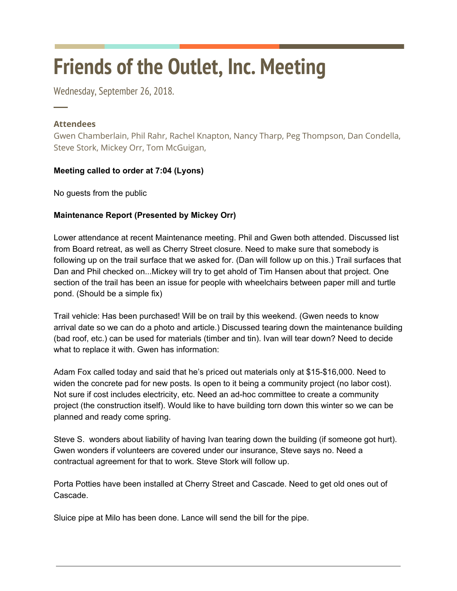# **Friends of the Outlet, Inc. Meeting**

Wednesday, September 26, 2018.

## **Attendees**

─

Gwen Chamberlain, Phil Rahr, Rachel Knapton, Nancy Tharp, Peg Thompson, Dan Condella, Steve Stork, Mickey Orr, Tom McGuigan,

## **Meeting called to order at 7:04 (Lyons)**

No guests from the public

## **Maintenance Report (Presented by Mickey Orr)**

Lower attendance at recent Maintenance meeting. Phil and Gwen both attended. Discussed list from Board retreat, as well as Cherry Street closure. Need to make sure that somebody is following up on the trail surface that we asked for. (Dan will follow up on this.) Trail surfaces that Dan and Phil checked on...Mickey will try to get ahold of Tim Hansen about that project. One section of the trail has been an issue for people with wheelchairs between paper mill and turtle pond. (Should be a simple fix)

Trail vehicle: Has been purchased! Will be on trail by this weekend. (Gwen needs to know arrival date so we can do a photo and article.) Discussed tearing down the maintenance building (bad roof, etc.) can be used for materials (timber and tin). Ivan will tear down? Need to decide what to replace it with. Gwen has information:

Adam Fox called today and said that he's priced out materials only at \$15-\$16,000. Need to widen the concrete pad for new posts. Is open to it being a community project (no labor cost). Not sure if cost includes electricity, etc. Need an ad-hoc committee to create a community project (the construction itself). Would like to have building torn down this winter so we can be planned and ready come spring.

Steve S. wonders about liability of having Ivan tearing down the building (if someone got hurt). Gwen wonders if volunteers are covered under our insurance, Steve says no. Need a contractual agreement for that to work. Steve Stork will follow up.

Porta Potties have been installed at Cherry Street and Cascade. Need to get old ones out of Cascade.

Sluice pipe at Milo has been done. Lance will send the bill for the pipe.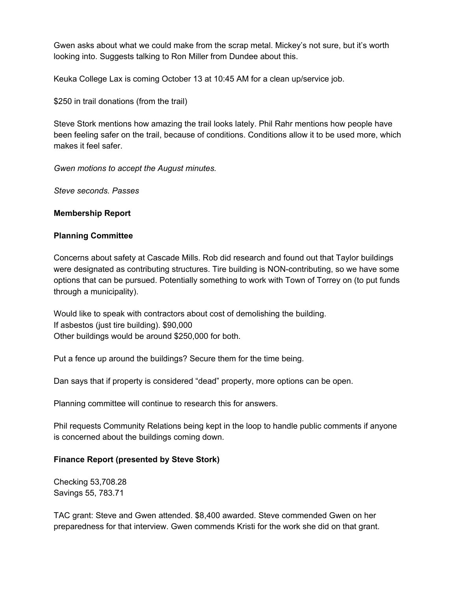Gwen asks about what we could make from the scrap metal. Mickey's not sure, but it's worth looking into. Suggests talking to Ron Miller from Dundee about this.

Keuka College Lax is coming October 13 at 10:45 AM for a clean up/service job.

\$250 in trail donations (from the trail)

Steve Stork mentions how amazing the trail looks lately. Phil Rahr mentions how people have been feeling safer on the trail, because of conditions. Conditions allow it to be used more, which makes it feel safer.

*Gwen motions to accept the August minutes.*

*Steve seconds. Passes*

#### **Membership Report**

#### **Planning Committee**

Concerns about safety at Cascade Mills. Rob did research and found out that Taylor buildings were designated as contributing structures. Tire building is NON-contributing, so we have some options that can be pursued. Potentially something to work with Town of Torrey on (to put funds through a municipality).

Would like to speak with contractors about cost of demolishing the building. If asbestos (just tire building). \$90,000 Other buildings would be around \$250,000 for both.

Put a fence up around the buildings? Secure them for the time being.

Dan says that if property is considered "dead" property, more options can be open.

Planning committee will continue to research this for answers.

Phil requests Community Relations being kept in the loop to handle public comments if anyone is concerned about the buildings coming down.

#### **Finance Report (presented by Steve Stork)**

Checking 53,708.28 Savings 55, 783.71

TAC grant: Steve and Gwen attended. \$8,400 awarded. Steve commended Gwen on her preparedness for that interview. Gwen commends Kristi for the work she did on that grant.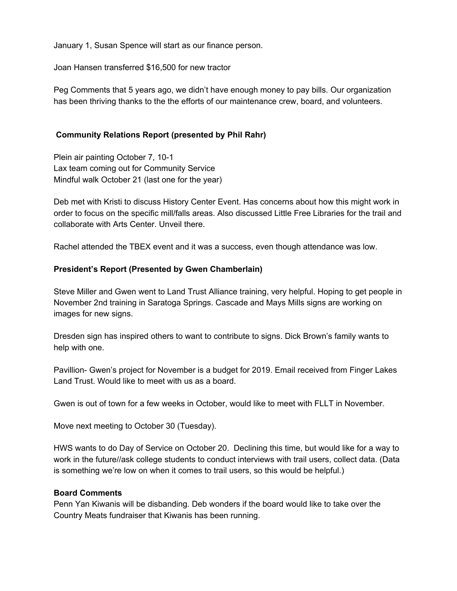January 1, Susan Spence will start as our finance person.

Joan Hansen transferred \$16,500 for new tractor

Peg Comments that 5 years ago, we didn't have enough money to pay bills. Our organization has been thriving thanks to the the efforts of our maintenance crew, board, and volunteers.

### **Community Relations Report (presented by Phil Rahr)**

Plein air painting October 7, 10-1 Lax team coming out for Community Service Mindful walk October 21 (last one for the year)

Deb met with Kristi to discuss History Center Event. Has concerns about how this might work in order to focus on the specific mill/falls areas. Also discussed Little Free Libraries for the trail and collaborate with Arts Center. Unveil there.

Rachel attended the TBEX event and it was a success, even though attendance was low.

#### **President's Report (Presented by Gwen Chamberlain)**

Steve Miller and Gwen went to Land Trust Alliance training, very helpful. Hoping to get people in November 2nd training in Saratoga Springs. Cascade and Mays Mills signs are working on images for new signs.

Dresden sign has inspired others to want to contribute to signs. Dick Brown's family wants to help with one.

Pavillion- Gwen's project for November is a budget for 2019. Email received from Finger Lakes Land Trust. Would like to meet with us as a board.

Gwen is out of town for a few weeks in October, would like to meet with FLLT in November.

Move next meeting to October 30 (Tuesday).

HWS wants to do Day of Service on October 20. Declining this time, but would like for a way to work in the future//ask college students to conduct interviews with trail users, collect data. (Data is something we're low on when it comes to trail users, so this would be helpful.)

#### **Board Comments**

Penn Yan Kiwanis will be disbanding. Deb wonders if the board would like to take over the Country Meats fundraiser that Kiwanis has been running.